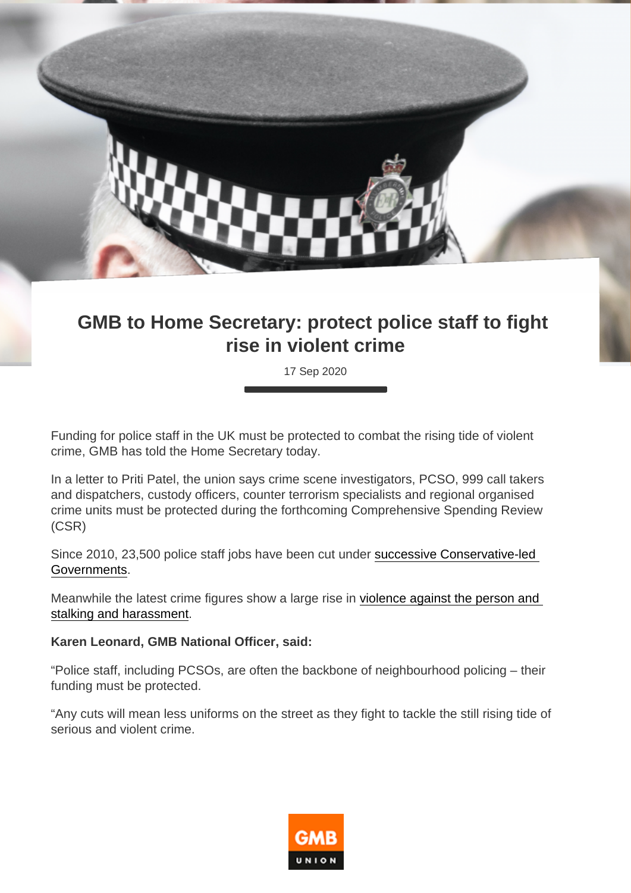## GMB to Home Secretary: protect police staff to fight rise in violent crime

17 Sep 2020

Funding for police staff in the UK must be protected to combat the rising tide of violent crime, GMB has told the Home Secretary today.

In a letter to Priti Patel, the union says crime scene investigators, PCSO, 999 call takers and dispatchers, custody officers, counter terrorism specialists and regional organised crime units must be protected during the forthcoming Comprehensive Spending Review (CSR)

Since 2010, 23,500 police staff jobs have been cut under [successive Conservative-led](https://www.gmb.org.uk/news/shock-figures-reveal-23500-police-staff-cut-under-tories )  [Governments](https://www.gmb.org.uk/news/shock-figures-reveal-23500-police-staff-cut-under-tories ).

Meanwhile the latest crime figures show a large rise in [violence against the person and](https://www.ons.gov.uk/peoplepopulationandcommunity/crimeandjustice/bulletins/crimeinenglandandwales/yearendingmarch2020)  [stalking and harassment](https://www.ons.gov.uk/peoplepopulationandcommunity/crimeandjustice/bulletins/crimeinenglandandwales/yearendingmarch2020).

Karen Leonard, GMB National Officer, said:

"Police staff, including PCSOs, are often the backbone of neighbourhood policing – their funding must be protected.

"Any cuts will mean less uniforms on the street as they fight to tackle the still rising tide of serious and violent crime.